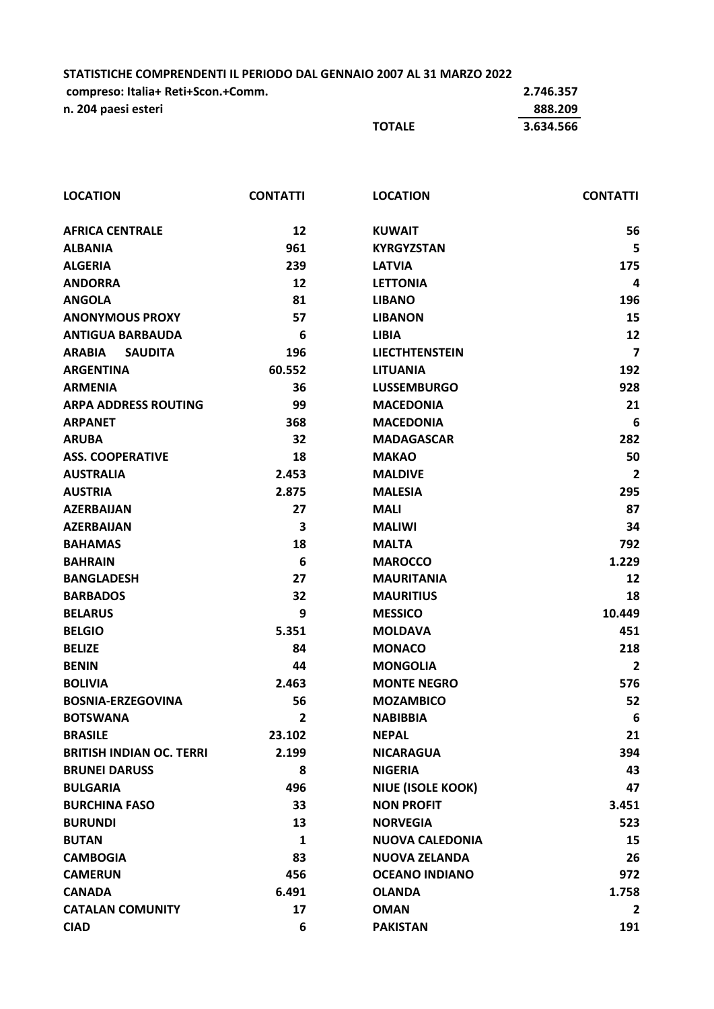**STATISTICHE COMPRENDENTI IL PERIODO DAL GENNAIO 2007 AL 31 MARZO 2022**

| compreso: Italia+ Reti+Scon.+Comm. |               | 2.746.357 |
|------------------------------------|---------------|-----------|
| n. 204 paesi esteri                |               | 888.209   |
|                                    | <b>TOTALE</b> | 3.634.566 |

| <b>LOCATION</b>                 | <b>CONTATTI</b> | <b>LOCATION</b>          | <b>CONTATTI</b> |
|---------------------------------|-----------------|--------------------------|-----------------|
| <b>AFRICA CENTRALE</b>          | 12              | <b>KUWAIT</b>            | 56              |
| <b>ALBANIA</b>                  | 961             | <b>KYRGYZSTAN</b>        | 5               |
| <b>ALGERIA</b>                  | 239             | <b>LATVIA</b>            | 175             |
| <b>ANDORRA</b>                  | 12              | <b>LETTONIA</b>          | 4               |
| <b>ANGOLA</b>                   | 81              | <b>LIBANO</b>            | 196             |
| <b>ANONYMOUS PROXY</b>          | 57              | <b>LIBANON</b>           | 15              |
| <b>ANTIGUA BARBAUDA</b>         | 6               | <b>LIBIA</b>             | 12              |
| <b>ARABIA</b><br><b>SAUDITA</b> | 196             | <b>LIECTHTENSTEIN</b>    | $\overline{7}$  |
| <b>ARGENTINA</b>                | 60.552          | <b>LITUANIA</b>          | 192             |
| <b>ARMENIA</b>                  | 36              | <b>LUSSEMBURGO</b>       | 928             |
| <b>ARPA ADDRESS ROUTING</b>     | 99              | <b>MACEDONIA</b>         | 21              |
| <b>ARPANET</b>                  | 368             | <b>MACEDONIA</b>         | 6               |
| <b>ARUBA</b>                    | 32              | <b>MADAGASCAR</b>        | 282             |
| <b>ASS. COOPERATIVE</b>         | 18              | <b>MAKAO</b>             | 50              |
| <b>AUSTRALIA</b>                | 2.453           | <b>MALDIVE</b>           | $\overline{2}$  |
| <b>AUSTRIA</b>                  | 2.875           | <b>MALESIA</b>           | 295             |
| <b>AZERBAIJAN</b>               | 27              | <b>MALI</b>              | 87              |
| <b>AZERBAIJAN</b>               | 3               | <b>MALIWI</b>            | 34              |
| <b>BAHAMAS</b>                  | 18              | <b>MALTA</b>             | 792             |
| <b>BAHRAIN</b>                  | $6\phantom{1}6$ | <b>MAROCCO</b>           | 1.229           |
| <b>BANGLADESH</b>               | 27              | <b>MAURITANIA</b>        | 12              |
| <b>BARBADOS</b>                 | 32              | <b>MAURITIUS</b>         | 18              |
| <b>BELARUS</b>                  | 9               | <b>MESSICO</b>           | 10.449          |
| <b>BELGIO</b>                   | 5.351           | <b>MOLDAVA</b>           | 451             |
| <b>BELIZE</b>                   | 84              | <b>MONACO</b>            | 218             |
| <b>BENIN</b>                    | 44              | <b>MONGOLIA</b>          | $\overline{2}$  |
| <b>BOLIVIA</b>                  | 2.463           | <b>MONTE NEGRO</b>       | 576             |
| <b>BOSNIA-ERZEGOVINA</b>        | 56              | <b>MOZAMBICO</b>         | 52              |
| <b>BOTSWANA</b>                 | 2               | <b>NABIBBIA</b>          | 6               |
| <b>BRASILE</b>                  | 23.102          | <b>NEPAL</b>             | 21              |
| <b>BRITISH INDIAN OC. TERRI</b> | 2.199           | <b>NICARAGUA</b>         | 394             |
| <b>BRUNEI DARUSS</b>            | 8               | <b>NIGERIA</b>           | 43              |
| <b>BULGARIA</b>                 | 496             | <b>NIUE (ISOLE KOOK)</b> | 47              |
| <b>BURCHINA FASO</b>            | 33              | <b>NON PROFIT</b>        | 3.451           |
| <b>BURUNDI</b>                  | 13              | <b>NORVEGIA</b>          | 523             |
| <b>BUTAN</b>                    | $\mathbf{1}$    | <b>NUOVA CALEDONIA</b>   | 15              |
| <b>CAMBOGIA</b>                 | 83              | <b>NUOVA ZELANDA</b>     | 26              |
| <b>CAMERUN</b>                  | 456             | <b>OCEANO INDIANO</b>    | 972             |
| <b>CANADA</b>                   | 6.491           | <b>OLANDA</b>            | 1.758           |
| <b>CATALAN COMUNITY</b>         | 17              | <b>OMAN</b>              | 2               |
| <b>CIAD</b>                     | 6               | <b>PAKISTAN</b>          | 191             |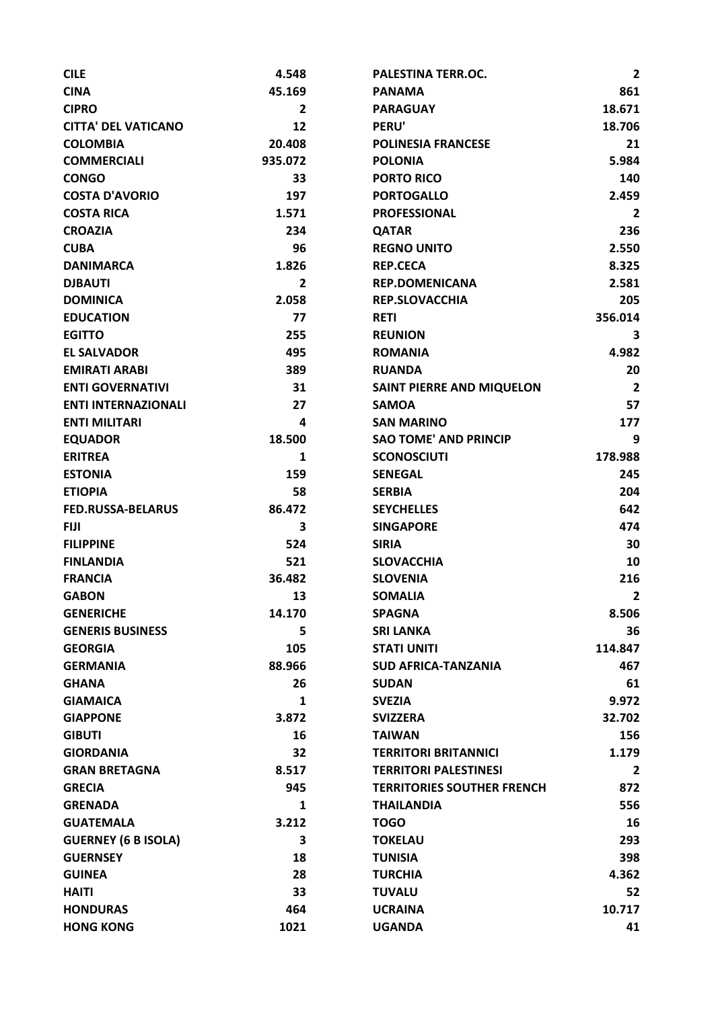| <b>CILE</b>                | 4.548          | PALESTINA TERR.OC.                | $\overline{2}$ |
|----------------------------|----------------|-----------------------------------|----------------|
| <b>CINA</b>                | 45.169         | <b>PANAMA</b>                     | 861            |
| <b>CIPRO</b>               | $\overline{2}$ | <b>PARAGUAY</b>                   | 18.671         |
| <b>CITTA' DEL VATICANO</b> | 12             | <b>PERU'</b>                      | 18.706         |
| <b>COLOMBIA</b>            | 20.408         | <b>POLINESIA FRANCESE</b>         | 21             |
| <b>COMMERCIALI</b>         | 935.072        | <b>POLONIA</b>                    | 5.984          |
| <b>CONGO</b>               | 33             | <b>PORTO RICO</b>                 | 140            |
| <b>COSTA D'AVORIO</b>      | 197            | <b>PORTOGALLO</b>                 | 2.459          |
| <b>COSTA RICA</b>          | 1.571          | <b>PROFESSIONAL</b>               | $\mathbf{2}$   |
| <b>CROAZIA</b>             | 234            | <b>QATAR</b>                      | 236            |
| <b>CUBA</b>                | 96             | <b>REGNO UNITO</b>                | 2.550          |
| <b>DANIMARCA</b>           | 1.826          | <b>REP.CECA</b>                   | 8.325          |
| <b>DJBAUTI</b>             | 2              | <b>REP.DOMENICANA</b>             | 2.581          |
| <b>DOMINICA</b>            | 2.058          | <b>REP.SLOVACCHIA</b>             | 205            |
| <b>EDUCATION</b>           | 77             | <b>RETI</b>                       | 356.014        |
| <b>EGITTO</b>              | 255            | <b>REUNION</b>                    | З              |
| <b>EL SALVADOR</b>         | 495            | <b>ROMANIA</b>                    | 4.982          |
| <b>EMIRATI ARABI</b>       | 389            | <b>RUANDA</b>                     | 20             |
| <b>ENTI GOVERNATIVI</b>    | 31             | <b>SAINT PIERRE AND MIQUELON</b>  | $\overline{2}$ |
| <b>ENTI INTERNAZIONALI</b> | 27             | <b>SAMOA</b>                      | 57             |
| <b>ENTI MILITARI</b>       | 4              | <b>SAN MARINO</b>                 | 177            |
| <b>EQUADOR</b>             | 18.500         | <b>SAO TOME' AND PRINCIP</b>      | 9              |
| <b>ERITREA</b>             | $\mathbf{1}$   | <b>SCONOSCIUTI</b>                | 178.988        |
| <b>ESTONIA</b>             | 159            | <b>SENEGAL</b>                    | 245            |
| <b>ETIOPIA</b>             | 58             | <b>SERBIA</b>                     | 204            |
| <b>FED.RUSSA-BELARUS</b>   | 86.472         | <b>SEYCHELLES</b>                 | 642            |
| <b>FIJI</b>                | 3              | <b>SINGAPORE</b>                  | 474            |
| <b>FILIPPINE</b>           | 524            | <b>SIRIA</b>                      | 30             |
| <b>FINLANDIA</b>           | 521            | <b>SLOVACCHIA</b>                 | 10             |
| <b>FRANCIA</b>             | 36.482         | <b>SLOVENIA</b>                   | 216            |
| <b>GABON</b>               | 13             | <b>SOMALIA</b>                    | $\mathbf{2}$   |
| <b>GENERICHE</b>           | 14.170         | <b>SPAGNA</b>                     | 8.506          |
| <b>GENERIS BUSINESS</b>    | 5              | <b>SRI LANKA</b>                  | 36             |
| <b>GEORGIA</b>             | 105            | <b>STATI UNITI</b>                | 114.847        |
| <b>GERMANIA</b>            | 88.966         | <b>SUD AFRICA-TANZANIA</b>        | 467            |
| <b>GHANA</b>               | 26             | <b>SUDAN</b>                      | 61             |
| <b>GIAMAICA</b>            | $\mathbf{1}$   | <b>SVEZIA</b>                     | 9.972          |
| <b>GIAPPONE</b>            | 3.872          | <b>SVIZZERA</b>                   | 32.702         |
| <b>GIBUTI</b>              | 16             | <b>TAIWAN</b>                     | 156            |
| <b>GIORDANIA</b>           | 32             | <b>TERRITORI BRITANNICI</b>       | 1.179          |
| <b>GRAN BRETAGNA</b>       | 8.517          | <b>TERRITORI PALESTINESI</b>      |                |
|                            | 945            |                                   | $\overline{2}$ |
| <b>GRECIA</b>              |                | <b>TERRITORIES SOUTHER FRENCH</b> | 872            |
| <b>GRENADA</b>             | $\mathbf{1}$   | <b>THAILANDIA</b>                 | 556            |
| <b>GUATEMALA</b>           | 3.212          | <b>TOGO</b>                       | 16             |
| <b>GUERNEY (6 B ISOLA)</b> | 3              | <b>TOKELAU</b>                    | 293            |
| <b>GUERNSEY</b>            | 18             | <b>TUNISIA</b>                    | 398            |
| <b>GUINEA</b>              | 28             | <b>TURCHIA</b>                    | 4.362          |
| <b>HAITI</b>               | 33             | <b>TUVALU</b>                     | 52             |
| <b>HONDURAS</b>            | 464            | <b>UCRAINA</b>                    | 10.717         |
| <b>HONG KONG</b>           | 1021           | <b>UGANDA</b>                     | 41             |